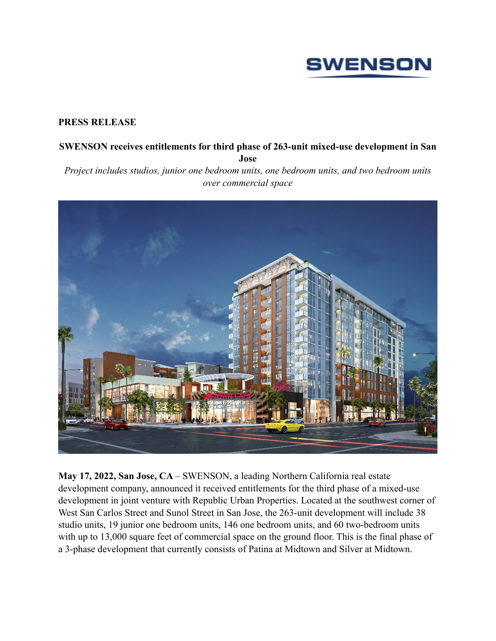

## **PRESS RELEASE**

## **SWENSON receives entitlements for third phase of 263-unit mixed-use development in San Jose**

*Project includes studios, junior one bedroom units, one bedroom units, and two bedroom units over commercial space*



**May 17, 2022, San Jose, CA** – SWENSON, a leading Northern California real estate development company, announced it received entitlements for the third phase of a mixed-use development in joint venture with Republic Urban Properties. Located at the southwest corner of West San Carlos Street and Sunol Street in San Jose, the 263-unit development will include 38 studio units, 19 junior one bedroom units, 146 one bedroom units, and 60 two-bedroom units with up to 13,000 square feet of commercial space on the ground floor. This is the final phase of a 3-phase development that currently consists of Patina at Midtown and Silver at Midtown.